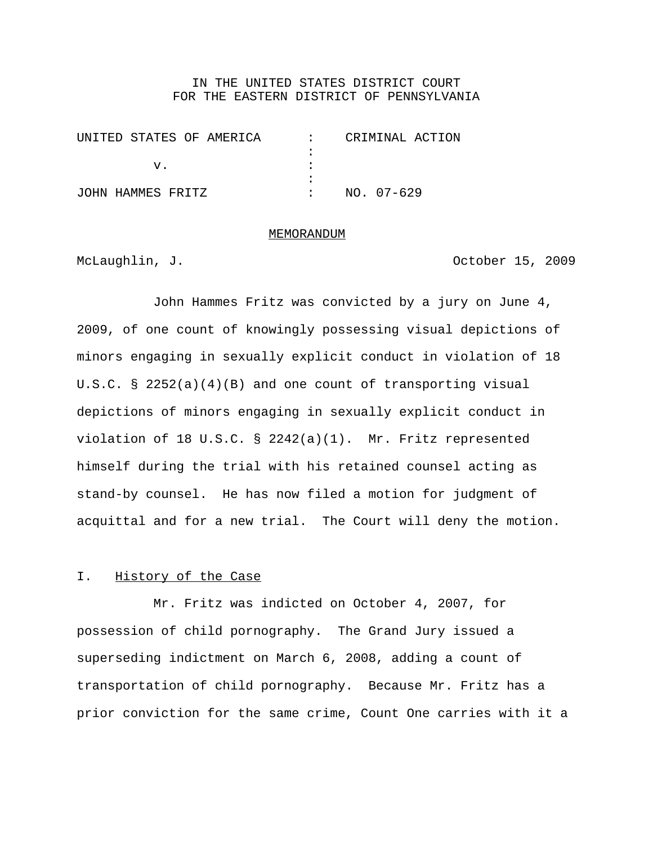## IN THE UNITED STATES DISTRICT COURT FOR THE EASTERN DISTRICT OF PENNSYLVANIA

| UNITED STATES OF AMERICA | CRIMINAL ACTION |
|--------------------------|-----------------|
|                          |                 |
|                          |                 |
|                          |                 |
| JOHN HAMMES FRITZ        | NO. 07-629      |

#### MEMORANDUM

McLaughlin, J. Chambread Contract Contract Contract October 15, 2009

John Hammes Fritz was convicted by a jury on June 4, 2009, of one count of knowingly possessing visual depictions of minors engaging in sexually explicit conduct in violation of 18 U.S.C. § 2252(a)(4)(B) and one count of transporting visual depictions of minors engaging in sexually explicit conduct in violation of 18 U.S.C. § 2242(a)(1). Mr. Fritz represented himself during the trial with his retained counsel acting as stand-by counsel. He has now filed a motion for judgment of acquittal and for a new trial. The Court will deny the motion.

## I. History of the Case

Mr. Fritz was indicted on October 4, 2007, for possession of child pornography. The Grand Jury issued a superseding indictment on March 6, 2008, adding a count of transportation of child pornography. Because Mr. Fritz has a prior conviction for the same crime, Count One carries with it a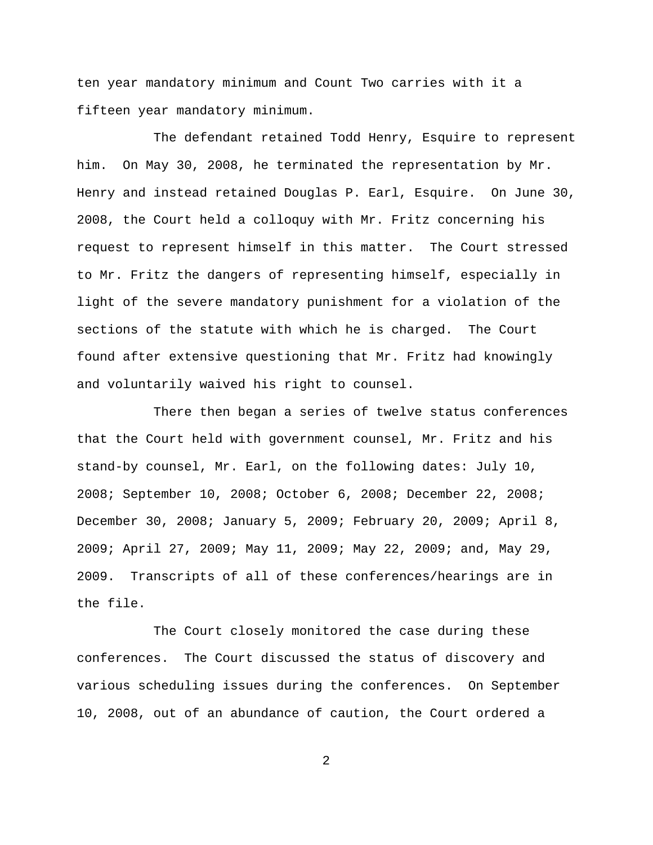ten year mandatory minimum and Count Two carries with it a fifteen year mandatory minimum.

The defendant retained Todd Henry, Esquire to represent him. On May 30, 2008, he terminated the representation by Mr. Henry and instead retained Douglas P. Earl, Esquire. On June 30, 2008, the Court held a colloquy with Mr. Fritz concerning his request to represent himself in this matter. The Court stressed to Mr. Fritz the dangers of representing himself, especially in light of the severe mandatory punishment for a violation of the sections of the statute with which he is charged. The Court found after extensive questioning that Mr. Fritz had knowingly and voluntarily waived his right to counsel.

There then began a series of twelve status conferences that the Court held with government counsel, Mr. Fritz and his stand-by counsel, Mr. Earl, on the following dates: July 10, 2008; September 10, 2008; October 6, 2008; December 22, 2008; December 30, 2008; January 5, 2009; February 20, 2009; April 8, 2009; April 27, 2009; May 11, 2009; May 22, 2009; and, May 29, 2009. Transcripts of all of these conferences/hearings are in the file.

The Court closely monitored the case during these conferences. The Court discussed the status of discovery and various scheduling issues during the conferences. On September 10, 2008, out of an abundance of caution, the Court ordered a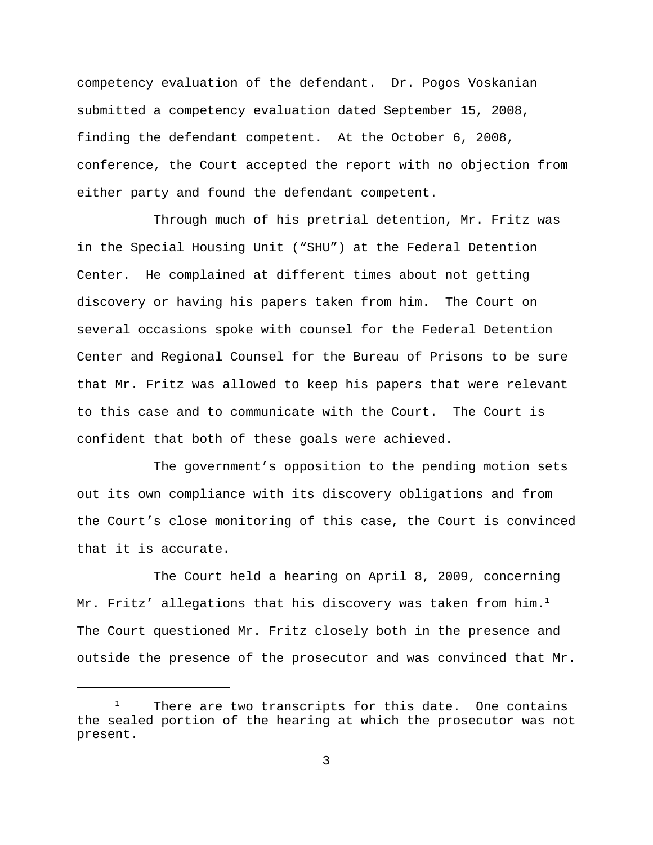competency evaluation of the defendant. Dr. Pogos Voskanian submitted a competency evaluation dated September 15, 2008, finding the defendant competent. At the October 6, 2008, conference, the Court accepted the report with no objection from either party and found the defendant competent.

Through much of his pretrial detention, Mr. Fritz was in the Special Housing Unit ("SHU") at the Federal Detention Center. He complained at different times about not getting discovery or having his papers taken from him. The Court on several occasions spoke with counsel for the Federal Detention Center and Regional Counsel for the Bureau of Prisons to be sure that Mr. Fritz was allowed to keep his papers that were relevant to this case and to communicate with the Court. The Court is confident that both of these goals were achieved.

The government's opposition to the pending motion sets out its own compliance with its discovery obligations and from the Court's close monitoring of this case, the Court is convinced that it is accurate.

The Court held a hearing on April 8, 2009, concerning Mr. Fritz' allegations that his discovery was taken from him.<sup>1</sup> The Court questioned Mr. Fritz closely both in the presence and outside the presence of the prosecutor and was convinced that Mr.

There are two transcripts for this date. One contains the sealed portion of the hearing at which the prosecutor was not present.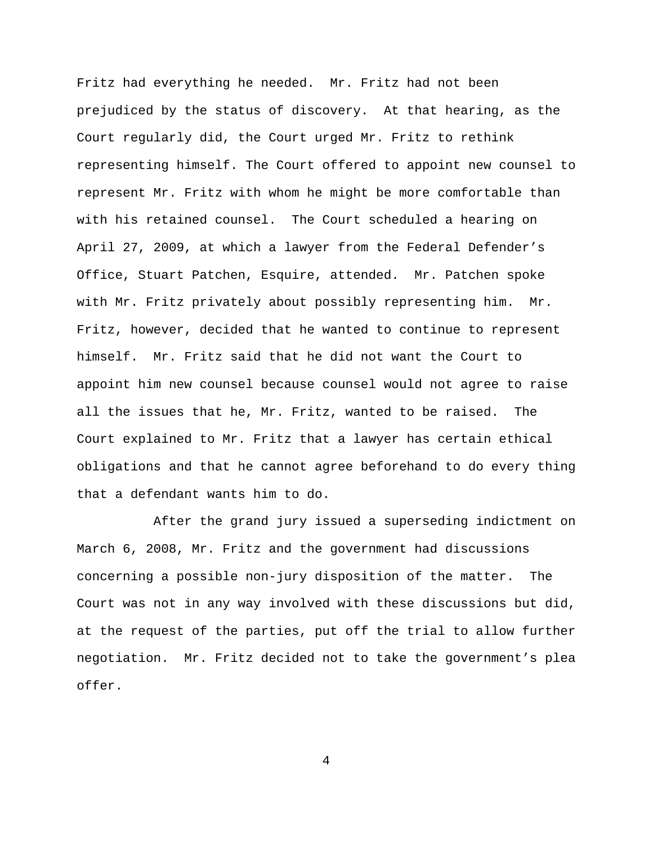Fritz had everything he needed. Mr. Fritz had not been prejudiced by the status of discovery. At that hearing, as the Court regularly did, the Court urged Mr. Fritz to rethink representing himself. The Court offered to appoint new counsel to represent Mr. Fritz with whom he might be more comfortable than with his retained counsel. The Court scheduled a hearing on April 27, 2009, at which a lawyer from the Federal Defender's Office, Stuart Patchen, Esquire, attended. Mr. Patchen spoke with Mr. Fritz privately about possibly representing him. Mr. Fritz, however, decided that he wanted to continue to represent himself. Mr. Fritz said that he did not want the Court to appoint him new counsel because counsel would not agree to raise all the issues that he, Mr. Fritz, wanted to be raised. The Court explained to Mr. Fritz that a lawyer has certain ethical obligations and that he cannot agree beforehand to do every thing that a defendant wants him to do.

After the grand jury issued a superseding indictment on March 6, 2008, Mr. Fritz and the government had discussions concerning a possible non-jury disposition of the matter. The Court was not in any way involved with these discussions but did, at the request of the parties, put off the trial to allow further negotiation. Mr. Fritz decided not to take the government's plea offer.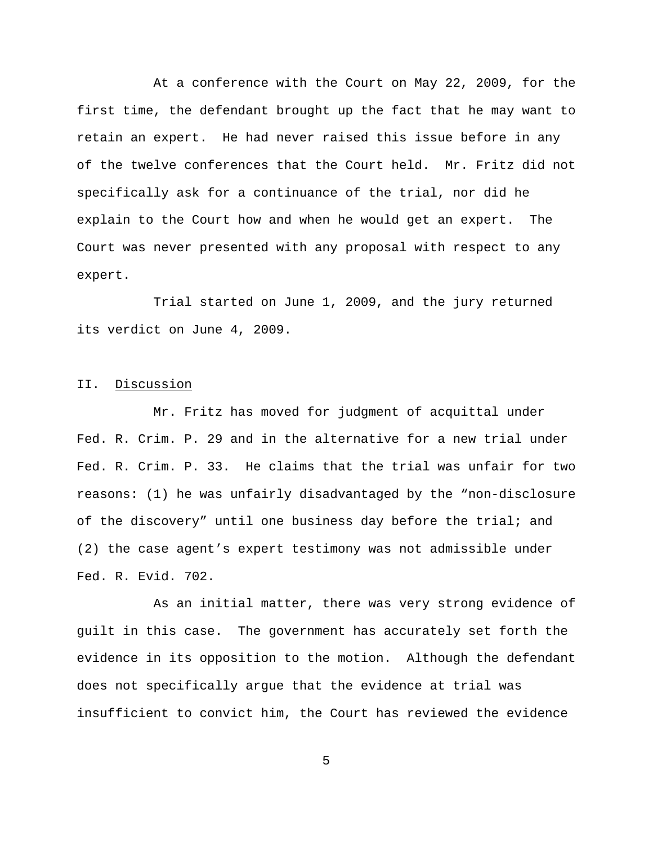At a conference with the Court on May 22, 2009, for the first time, the defendant brought up the fact that he may want to retain an expert. He had never raised this issue before in any of the twelve conferences that the Court held. Mr. Fritz did not specifically ask for a continuance of the trial, nor did he explain to the Court how and when he would get an expert. The Court was never presented with any proposal with respect to any expert.

Trial started on June 1, 2009, and the jury returned its verdict on June 4, 2009.

### II. Discussion

Mr. Fritz has moved for judgment of acquittal under Fed. R. Crim. P. 29 and in the alternative for a new trial under Fed. R. Crim. P. 33. He claims that the trial was unfair for two reasons: (1) he was unfairly disadvantaged by the "non-disclosure of the discovery" until one business day before the trial; and (2) the case agent's expert testimony was not admissible under Fed. R. Evid. 702.

As an initial matter, there was very strong evidence of guilt in this case. The government has accurately set forth the evidence in its opposition to the motion. Although the defendant does not specifically argue that the evidence at trial was insufficient to convict him, the Court has reviewed the evidence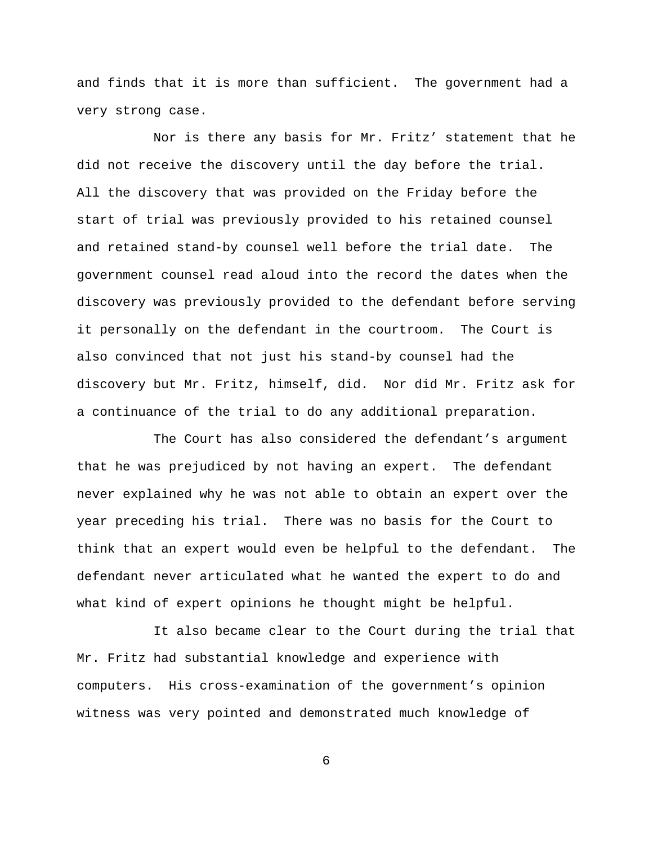and finds that it is more than sufficient. The government had a very strong case.

Nor is there any basis for Mr. Fritz' statement that he did not receive the discovery until the day before the trial. All the discovery that was provided on the Friday before the start of trial was previously provided to his retained counsel and retained stand-by counsel well before the trial date. The government counsel read aloud into the record the dates when the discovery was previously provided to the defendant before serving it personally on the defendant in the courtroom. The Court is also convinced that not just his stand-by counsel had the discovery but Mr. Fritz, himself, did. Nor did Mr. Fritz ask for a continuance of the trial to do any additional preparation.

The Court has also considered the defendant's argument that he was prejudiced by not having an expert. The defendant never explained why he was not able to obtain an expert over the year preceding his trial. There was no basis for the Court to think that an expert would even be helpful to the defendant. The defendant never articulated what he wanted the expert to do and what kind of expert opinions he thought might be helpful.

It also became clear to the Court during the trial that Mr. Fritz had substantial knowledge and experience with computers. His cross-examination of the government's opinion witness was very pointed and demonstrated much knowledge of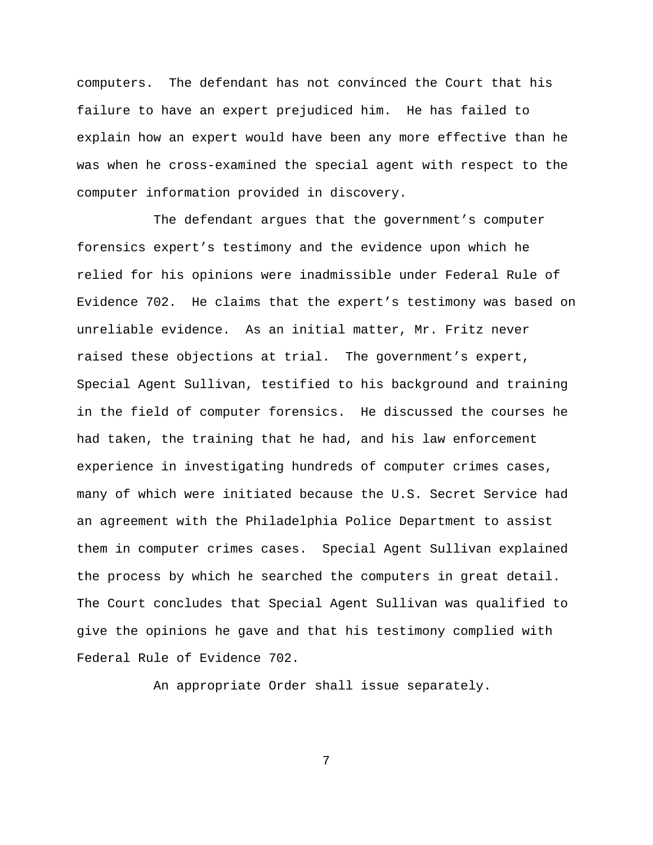computers. The defendant has not convinced the Court that his failure to have an expert prejudiced him. He has failed to explain how an expert would have been any more effective than he was when he cross-examined the special agent with respect to the computer information provided in discovery.

The defendant argues that the government's computer forensics expert's testimony and the evidence upon which he relied for his opinions were inadmissible under Federal Rule of Evidence 702. He claims that the expert's testimony was based on unreliable evidence. As an initial matter, Mr. Fritz never raised these objections at trial. The government's expert, Special Agent Sullivan, testified to his background and training in the field of computer forensics. He discussed the courses he had taken, the training that he had, and his law enforcement experience in investigating hundreds of computer crimes cases, many of which were initiated because the U.S. Secret Service had an agreement with the Philadelphia Police Department to assist them in computer crimes cases. Special Agent Sullivan explained the process by which he searched the computers in great detail. The Court concludes that Special Agent Sullivan was qualified to give the opinions he gave and that his testimony complied with Federal Rule of Evidence 702.

An appropriate Order shall issue separately.